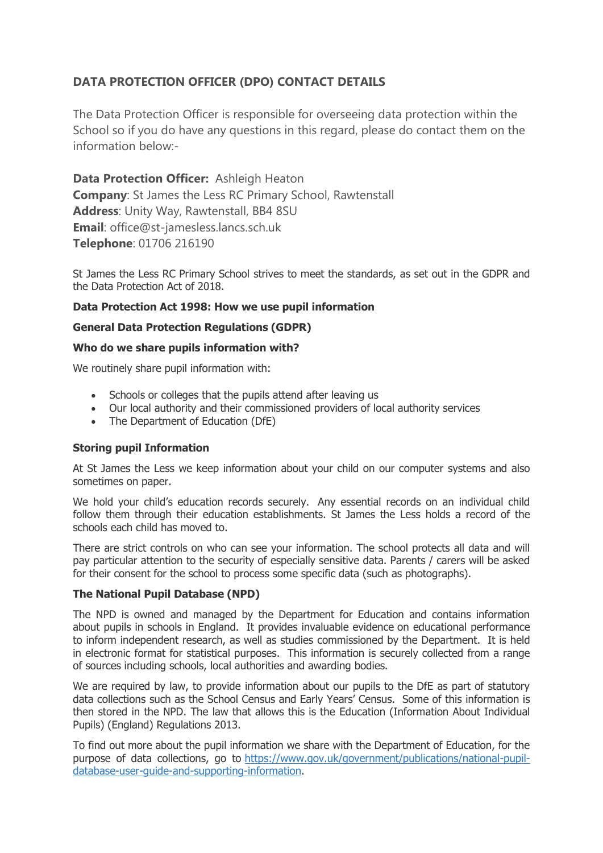# **DATA PROTECTION OFFICER (DPO) CONTACT DETAILS**

The Data Protection Officer is responsible for overseeing data protection within the School so if you do have any questions in this regard, please do contact them on the information below:-

**Data Protection Officer:** Ashleigh Heaton **Company**: St James the Less RC Primary School, Rawtenstall **Address**: Unity Way, Rawtenstall, BB4 8SU **Email**: office@st-jamesless.lancs.sch.uk **Telephone**: 01706 216190

St James the Less RC Primary School strives to meet the standards, as set out in the GDPR and the Data Protection Act of 2018.

## **Data Protection Act 1998: How we use pupil information**

### **General Data Protection Regulations (GDPR)**

### **Who do we share pupils information with?**

We routinely share pupil information with:

- Schools or colleges that the pupils attend after leaving us
- Our local authority and their commissioned providers of local authority services
- The Department of Education (DfE)

### **Storing pupil Information**

At St James the Less we keep information about your child on our computer systems and also sometimes on paper.

We hold your child's education records securely. Any essential records on an individual child follow them through their education establishments. St James the Less holds a record of the schools each child has moved to.

There are strict controls on who can see your information. The school protects all data and will pay particular attention to the security of especially sensitive data. Parents / carers will be asked for their consent for the school to process some specific data (such as photographs).

### **The National Pupil Database (NPD)**

The NPD is owned and managed by the Department for Education and contains information about pupils in schools in England. It provides invaluable evidence on educational performance to inform independent research, as well as studies commissioned by the Department. It is held in electronic format for statistical purposes. This information is securely collected from a range of sources including schools, local authorities and awarding bodies.

We are required by law, to provide information about our pupils to the DfE as part of statutory data collections such as the School Census and Early Years' Census. Some of this information is then stored in the NPD. The law that allows this is the Education (Information About Individual Pupils) (England) Regulations 2013.

To find out more about the pupil information we share with the Department of Education, for the purpose of data collections, go to [https://www.gov.uk/government/publications/national-pupil](https://www.gov.uk/government/publications/national-pupil-database-user-guide-and-supporting-information)[database-user-guide-and-supporting-information.](https://www.gov.uk/government/publications/national-pupil-database-user-guide-and-supporting-information)